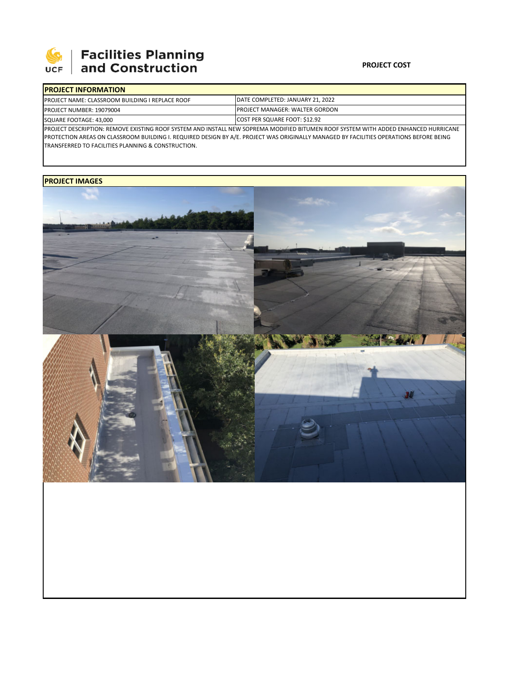

## | Facilities Planning<br>| and Construction

## **PROJECT COST**

| <b>IPROJECT INFORMATION</b>                     |                                                                                                                                      |
|-------------------------------------------------|--------------------------------------------------------------------------------------------------------------------------------------|
| PROJECT NAME: CLASSROOM BUILDING I REPLACE ROOF | DATE COMPLETED: JANUARY 21, 2022                                                                                                     |
| <b>PROJECT NUMBER: 19079004</b>                 | <b>IPROJECT MANAGER: WALTER GORDON</b>                                                                                               |
| SQUARE FOOTAGE: 43,000                          | COST PER SQUARE FOOT: \$12.92                                                                                                        |
|                                                 | IPROJECT DESCRIPTION: REMOVE EXISTING ROOF SYSTEM AND INSTALL NEW SOPREMA MODIFIED BITUMEN ROOF SYSTEM WITH ADDED ENHANCED HURRICANE |

PROTECTION AREAS ON CLASSROOM BUILDING I. REQUIRED DESIGN BY A/E. PROJECT WAS ORIGINALLY MANAGED BY FACILITIES OPERATIONS BEFORE BEING TRANSFERRED TO FACILITIES PLANNING & CONSTRUCTION.